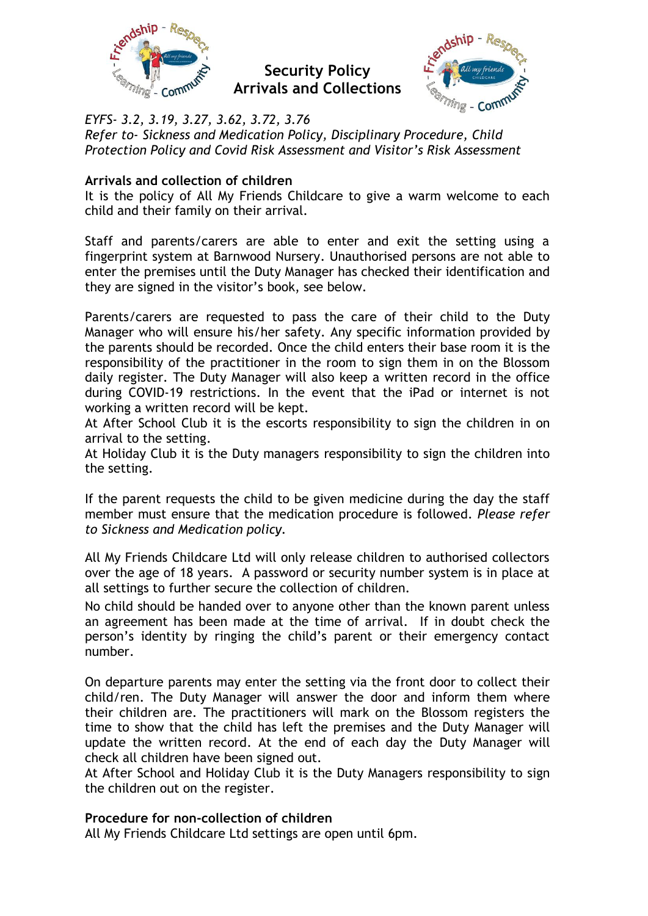

**Security Policy Arrivals and Collections**



*EYFS- 3.2, 3.19, 3.27, 3.62, 3.72, 3.76 Refer to- Sickness and Medication Policy, Disciplinary Procedure, Child Protection Policy and Covid Risk Assessment and Visitor's Risk Assessment*

## **Arrivals and collection of children**

It is the policy of All My Friends Childcare to give a warm welcome to each child and their family on their arrival.

Staff and parents/carers are able to enter and exit the setting using a fingerprint system at Barnwood Nursery. Unauthorised persons are not able to enter the premises until the Duty Manager has checked their identification and they are signed in the visitor's book, see below.

Parents/carers are requested to pass the care of their child to the Duty Manager who will ensure his/her safety. Any specific information provided by the parents should be recorded. Once the child enters their base room it is the responsibility of the practitioner in the room to sign them in on the Blossom daily register. The Duty Manager will also keep a written record in the office during COVID-19 restrictions. In the event that the iPad or internet is not working a written record will be kept.

At After School Club it is the escorts responsibility to sign the children in on arrival to the setting.

At Holiday Club it is the Duty managers responsibility to sign the children into the setting.

If the parent requests the child to be given medicine during the day the staff member must ensure that the medication procedure is followed. *Please refer to Sickness and Medication policy.*

All My Friends Childcare Ltd will only release children to authorised collectors over the age of 18 years. A password or security number system is in place at all settings to further secure the collection of children.

No child should be handed over to anyone other than the known parent unless an agreement has been made at the time of arrival. If in doubt check the person's identity by ringing the child's parent or their emergency contact number.

On departure parents may enter the setting via the front door to collect their child/ren. The Duty Manager will answer the door and inform them where their children are. The practitioners will mark on the Blossom registers the time to show that the child has left the premises and the Duty Manager will update the written record. At the end of each day the Duty Manager will check all children have been signed out.

At After School and Holiday Club it is the Duty Managers responsibility to sign the children out on the register.

## **Procedure for non-collection of children**

All My Friends Childcare Ltd settings are open until 6pm.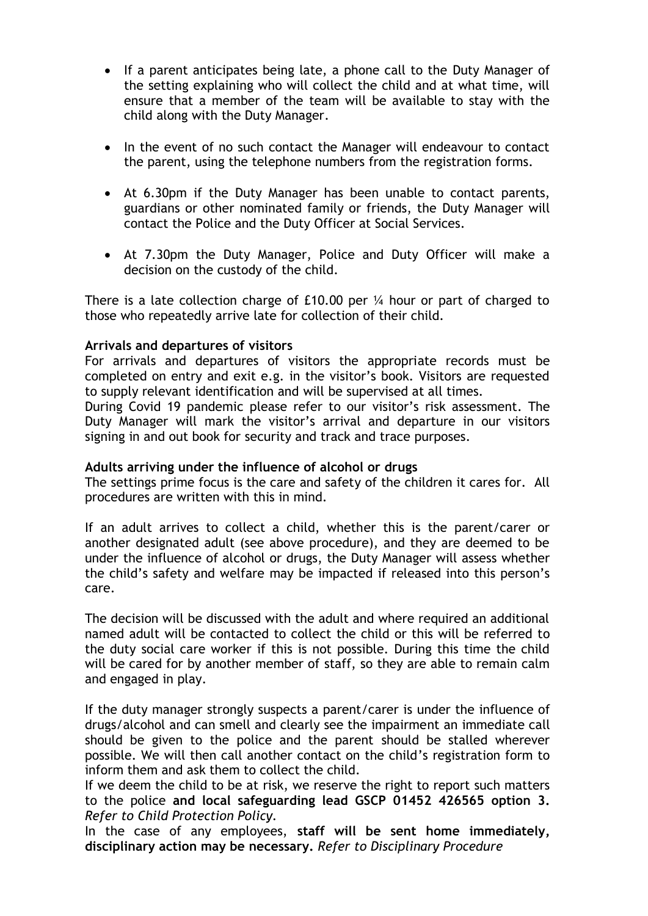- If a parent anticipates being late, a phone call to the Duty Manager of the setting explaining who will collect the child and at what time, will ensure that a member of the team will be available to stay with the child along with the Duty Manager.
- In the event of no such contact the Manager will endeavour to contact the parent, using the telephone numbers from the registration forms.
- At 6.30pm if the Duty Manager has been unable to contact parents, guardians or other nominated family or friends, the Duty Manager will contact the Police and the Duty Officer at Social Services.
- At 7.30pm the Duty Manager, Police and Duty Officer will make a decision on the custody of the child.

There is a late collection charge of £10.00 per ¼ hour or part of charged to those who repeatedly arrive late for collection of their child.

## **Arrivals and departures of visitors**

For arrivals and departures of visitors the appropriate records must be completed on entry and exit e.g. in the visitor's book. Visitors are requested to supply relevant identification and will be supervised at all times.

During Covid 19 pandemic please refer to our visitor's risk assessment. The Duty Manager will mark the visitor's arrival and departure in our visitors signing in and out book for security and track and trace purposes.

## **Adults arriving under the influence of alcohol or drugs**

The settings prime focus is the care and safety of the children it cares for. All procedures are written with this in mind.

If an adult arrives to collect a child, whether this is the parent/carer or another designated adult (see above procedure), and they are deemed to be under the influence of alcohol or drugs, the Duty Manager will assess whether the child's safety and welfare may be impacted if released into this person's care.

The decision will be discussed with the adult and where required an additional named adult will be contacted to collect the child or this will be referred to the duty social care worker if this is not possible. During this time the child will be cared for by another member of staff, so they are able to remain calm and engaged in play.

If the duty manager strongly suspects a parent/carer is under the influence of drugs/alcohol and can smell and clearly see the impairment an immediate call should be given to the police and the parent should be stalled wherever possible. We will then call another contact on the child's registration form to inform them and ask them to collect the child.

If we deem the child to be at risk, we reserve the right to report such matters to the police **and local safeguarding lead GSCP 01452 426565 option 3.** *Refer to Child Protection Policy.*

In the case of any employees, **staff will be sent home immediately, disciplinary action may be necessary.** *Refer to Disciplinary Procedure*